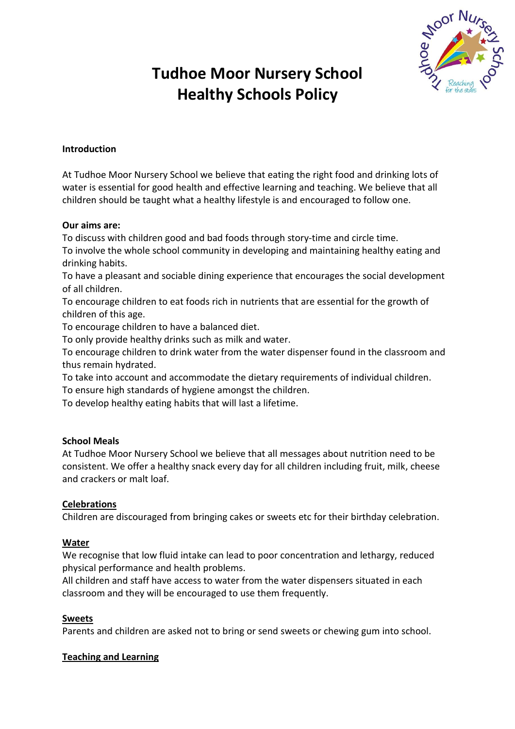

# **Tudhoe Moor Nursery School Healthy Schools Policy**

## **Introduction**

At Tudhoe Moor Nursery School we believe that eating the right food and drinking lots of water is essential for good health and effective learning and teaching. We believe that all children should be taught what a healthy lifestyle is and encouraged to follow one.

#### **Our aims are:**

To discuss with children good and bad foods through story-time and circle time.

To involve the whole school community in developing and maintaining healthy eating and drinking habits.

To have a pleasant and sociable dining experience that encourages the social development of all children.

To encourage children to eat foods rich in nutrients that are essential for the growth of children of this age.

To encourage children to have a balanced diet.

To only provide healthy drinks such as milk and water.

To encourage children to drink water from the water dispenser found in the classroom and thus remain hydrated.

To take into account and accommodate the dietary requirements of individual children. To ensure high standards of hygiene amongst the children.

To develop healthy eating habits that will last a lifetime.

#### **School Meals**

At Tudhoe Moor Nursery School we believe that all messages about nutrition need to be consistent. We offer a healthy snack every day for all children including fruit, milk, cheese and crackers or malt loaf.

## **Celebrations**

Children are discouraged from bringing cakes or sweets etc for their birthday celebration.

#### **Water**

We recognise that low fluid intake can lead to poor concentration and lethargy, reduced physical performance and health problems.

All children and staff have access to water from the water dispensers situated in each classroom and they will be encouraged to use them frequently.

#### **Sweets**

Parents and children are asked not to bring or send sweets or chewing gum into school.

#### **Teaching and Learning**